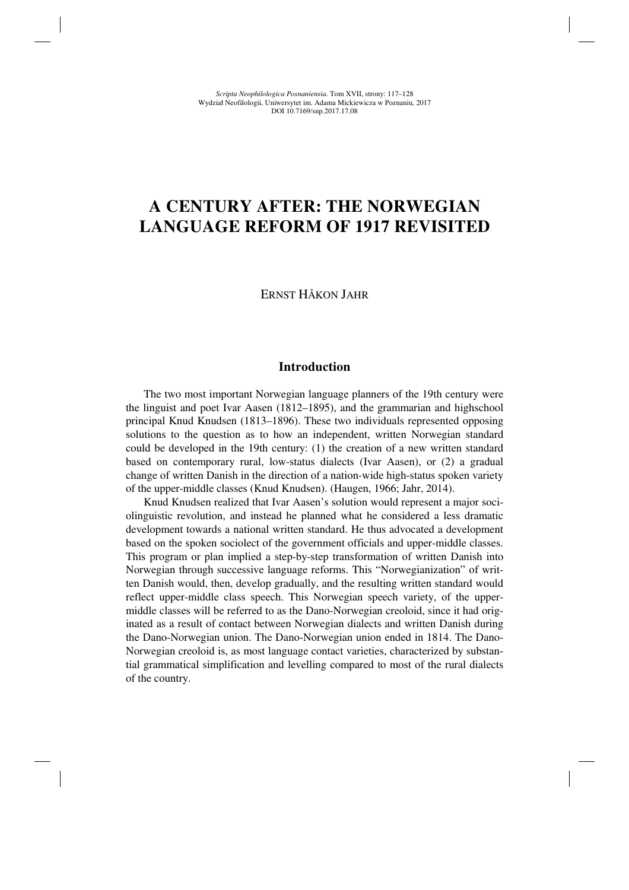# **A CENTURY AFTER: THE NORWEGIAN LANGUAGE REFORM OF 1917 REVISITED**

# ERNST HÅKON JAHR

#### **Introduction**

The two most important Norwegian language planners of the 19th century were the linguist and poet Ivar Aasen (1812–1895), and the grammarian and highschool principal Knud Knudsen (1813–1896). These two individuals represented opposing solutions to the question as to how an independent, written Norwegian standard could be developed in the 19th century: (1) the creation of a new written standard based on contemporary rural, low-status dialects (Ivar Aasen), or (2) a gradual change of written Danish in the direction of a nation-wide high-status spoken variety of the upper-middle classes (Knud Knudsen). (Haugen, 1966; Jahr, 2014).

Knud Knudsen realized that Ivar Aasen's solution would represent a major sociolinguistic revolution, and instead he planned what he considered a less dramatic development towards a national written standard. He thus advocated a development based on the spoken sociolect of the government officials and upper-middle classes. This program or plan implied a step-by-step transformation of written Danish into Norwegian through successive language reforms. This "Norwegianization" of written Danish would, then, develop gradually, and the resulting written standard would reflect upper-middle class speech. This Norwegian speech variety, of the uppermiddle classes will be referred to as the Dano-Norwegian creoloid, since it had originated as a result of contact between Norwegian dialects and written Danish during the Dano-Norwegian union. The Dano-Norwegian union ended in 1814. The Dano-Norwegian creoloid is, as most language contact varieties, characterized by substantial grammatical simplification and levelling compared to most of the rural dialects of the country.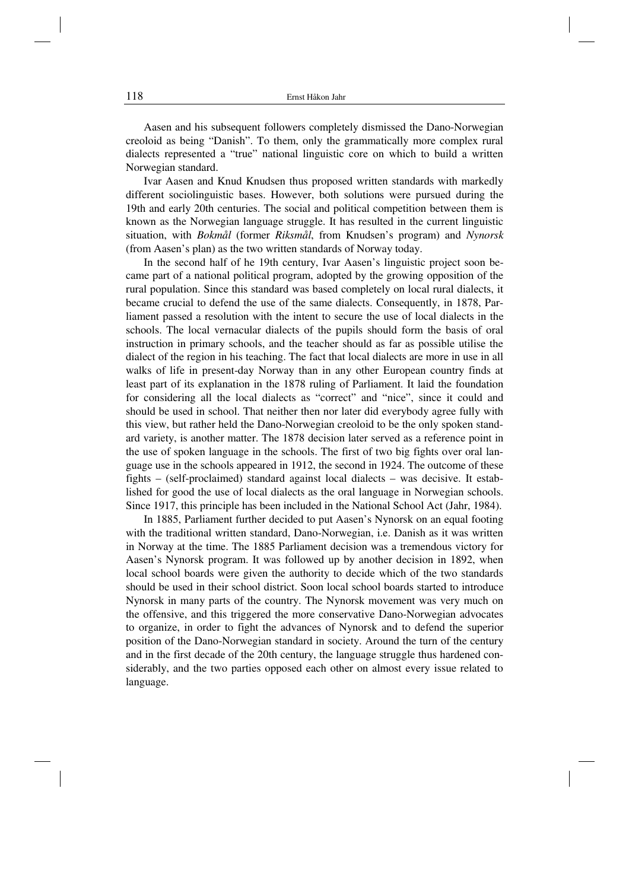Aasen and his subsequent followers completely dismissed the Dano-Norwegian creoloid as being "Danish". To them, only the grammatically more complex rural dialects represented a "true" national linguistic core on which to build a written Norwegian standard.

Ivar Aasen and Knud Knudsen thus proposed written standards with markedly different sociolinguistic bases. However, both solutions were pursued during the 19th and early 20th centuries. The social and political competition between them is known as the Norwegian language struggle. It has resulted in the current linguistic situation, with *Bokmål* (former *Riksmål*, from Knudsen's program) and *Nynorsk* (from Aasen's plan) as the two written standards of Norway today.

In the second half of he 19th century, Ivar Aasen's linguistic project soon became part of a national political program, adopted by the growing opposition of the rural population. Since this standard was based completely on local rural dialects, it became crucial to defend the use of the same dialects. Consequently, in 1878, Parliament passed a resolution with the intent to secure the use of local dialects in the schools. The local vernacular dialects of the pupils should form the basis of oral instruction in primary schools, and the teacher should as far as possible utilise the dialect of the region in his teaching. The fact that local dialects are more in use in all walks of life in present-day Norway than in any other European country finds at least part of its explanation in the 1878 ruling of Parliament. It laid the foundation for considering all the local dialects as "correct" and "nice", since it could and should be used in school. That neither then nor later did everybody agree fully with this view, but rather held the Dano-Norwegian creoloid to be the only spoken standard variety, is another matter. The 1878 decision later served as a reference point in the use of spoken language in the schools. The first of two big fights over oral language use in the schools appeared in 1912, the second in 1924. The outcome of these fights – (self-proclaimed) standard against local dialects – was decisive. It established for good the use of local dialects as the oral language in Norwegian schools. Since 1917, this principle has been included in the National School Act (Jahr, 1984).

In 1885, Parliament further decided to put Aasen's Nynorsk on an equal footing with the traditional written standard, Dano-Norwegian, i.e. Danish as it was written in Norway at the time. The 1885 Parliament decision was a tremendous victory for Aasen's Nynorsk program. It was followed up by another decision in 1892, when local school boards were given the authority to decide which of the two standards should be used in their school district. Soon local school boards started to introduce Nynorsk in many parts of the country. The Nynorsk movement was very much on the offensive, and this triggered the more conservative Dano-Norwegian advocates to organize, in order to fight the advances of Nynorsk and to defend the superior position of the Dano-Norwegian standard in society. Around the turn of the century and in the first decade of the 20th century, the language struggle thus hardened considerably, and the two parties opposed each other on almost every issue related to language.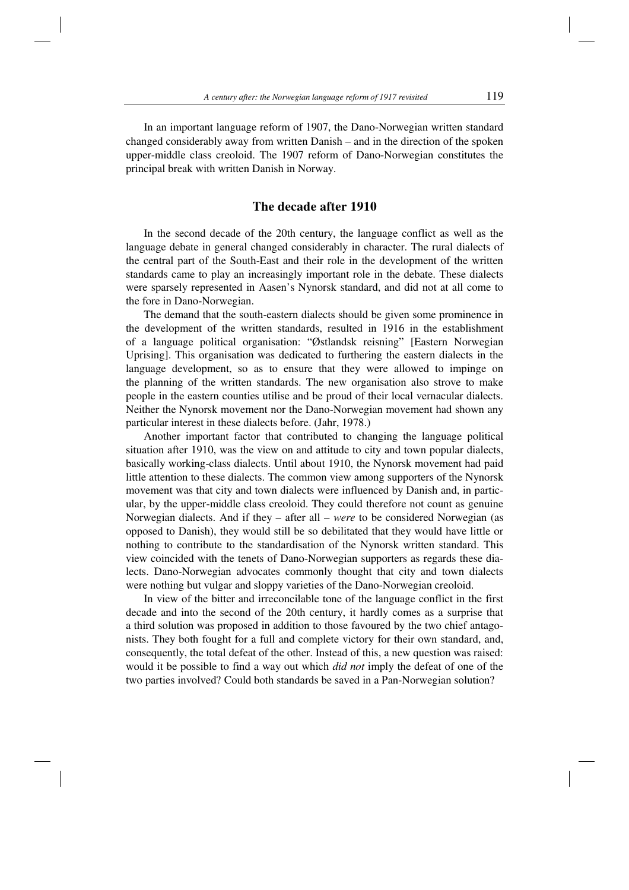In an important language reform of 1907, the Dano-Norwegian written standard changed considerably away from written Danish – and in the direction of the spoken upper-middle class creoloid. The 1907 reform of Dano-Norwegian constitutes the principal break with written Danish in Norway.

# **The decade after 1910**

In the second decade of the 20th century, the language conflict as well as the language debate in general changed considerably in character. The rural dialects of the central part of the South-East and their role in the development of the written standards came to play an increasingly important role in the debate. These dialects were sparsely represented in Aasen's Nynorsk standard, and did not at all come to the fore in Dano-Norwegian.

The demand that the south-eastern dialects should be given some prominence in the development of the written standards, resulted in 1916 in the establishment of a language political organisation: "Østlandsk reisning" [Eastern Norwegian Uprising]. This organisation was dedicated to furthering the eastern dialects in the language development, so as to ensure that they were allowed to impinge on the planning of the written standards. The new organisation also strove to make people in the eastern counties utilise and be proud of their local vernacular dialects. Neither the Nynorsk movement nor the Dano-Norwegian movement had shown any particular interest in these dialects before. (Jahr, 1978.)

Another important factor that contributed to changing the language political situation after 1910, was the view on and attitude to city and town popular dialects, basically working-class dialects. Until about 1910, the Nynorsk movement had paid little attention to these dialects. The common view among supporters of the Nynorsk movement was that city and town dialects were influenced by Danish and, in particular, by the upper-middle class creoloid. They could therefore not count as genuine Norwegian dialects. And if they – after all – *were* to be considered Norwegian (as opposed to Danish), they would still be so debilitated that they would have little or nothing to contribute to the standardisation of the Nynorsk written standard. This view coincided with the tenets of Dano-Norwegian supporters as regards these dialects. Dano-Norwegian advocates commonly thought that city and town dialects were nothing but vulgar and sloppy varieties of the Dano-Norwegian creoloid.

In view of the bitter and irreconcilable tone of the language conflict in the first decade and into the second of the 20th century, it hardly comes as a surprise that a third solution was proposed in addition to those favoured by the two chief antagonists. They both fought for a full and complete victory for their own standard, and, consequently, the total defeat of the other. Instead of this, a new question was raised: would it be possible to find a way out which *did not* imply the defeat of one of the two parties involved? Could both standards be saved in a Pan-Norwegian solution?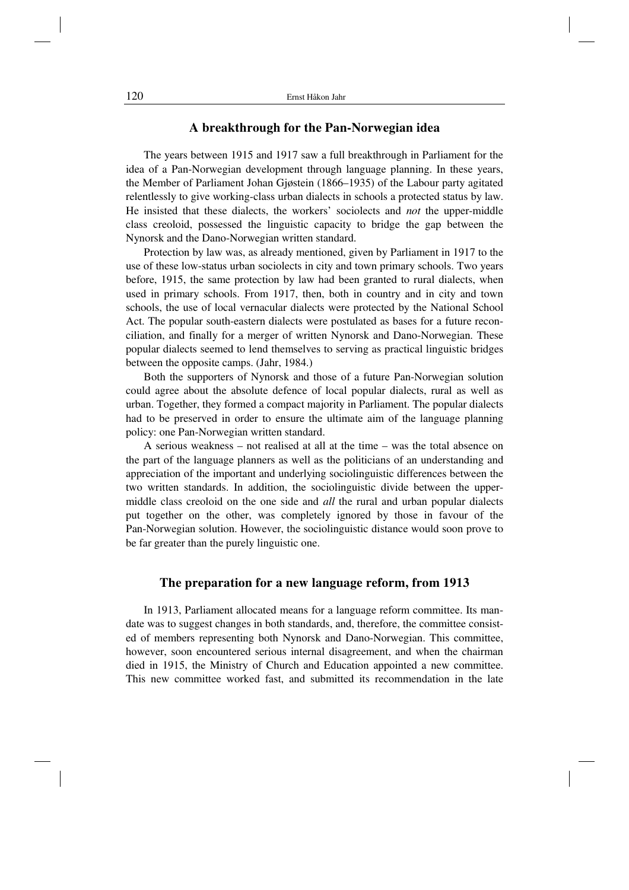#### **A breakthrough for the Pan-Norwegian idea**

The years between 1915 and 1917 saw a full breakthrough in Parliament for the idea of a Pan-Norwegian development through language planning. In these years, the Member of Parliament Johan Gjøstein (1866–1935) of the Labour party agitated relentlessly to give working-class urban dialects in schools a protected status by law. He insisted that these dialects, the workers' sociolects and *not* the upper-middle class creoloid, possessed the linguistic capacity to bridge the gap between the Nynorsk and the Dano-Norwegian written standard.

Protection by law was, as already mentioned, given by Parliament in 1917 to the use of these low-status urban sociolects in city and town primary schools. Two years before, 1915, the same protection by law had been granted to rural dialects, when used in primary schools. From 1917, then, both in country and in city and town schools, the use of local vernacular dialects were protected by the National School Act. The popular south-eastern dialects were postulated as bases for a future reconciliation, and finally for a merger of written Nynorsk and Dano-Norwegian. These popular dialects seemed to lend themselves to serving as practical linguistic bridges between the opposite camps. (Jahr, 1984.)

Both the supporters of Nynorsk and those of a future Pan-Norwegian solution could agree about the absolute defence of local popular dialects, rural as well as urban. Together, they formed a compact majority in Parliament. The popular dialects had to be preserved in order to ensure the ultimate aim of the language planning policy: one Pan-Norwegian written standard.

A serious weakness – not realised at all at the time – was the total absence on the part of the language planners as well as the politicians of an understanding and appreciation of the important and underlying sociolinguistic differences between the two written standards. In addition, the sociolinguistic divide between the uppermiddle class creoloid on the one side and *all* the rural and urban popular dialects put together on the other, was completely ignored by those in favour of the Pan-Norwegian solution. However, the sociolinguistic distance would soon prove to be far greater than the purely linguistic one.

## **The preparation for a new language reform, from 1913**

In 1913, Parliament allocated means for a language reform committee. Its mandate was to suggest changes in both standards, and, therefore, the committee consisted of members representing both Nynorsk and Dano-Norwegian. This committee, however, soon encountered serious internal disagreement, and when the chairman died in 1915, the Ministry of Church and Education appointed a new committee. This new committee worked fast, and submitted its recommendation in the late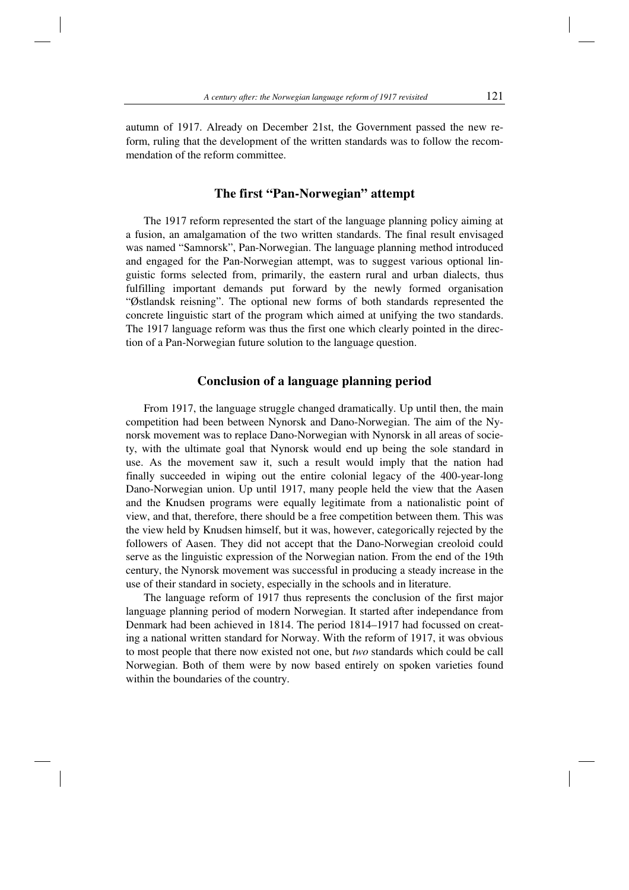autumn of 1917. Already on December 21st, the Government passed the new reform, ruling that the development of the written standards was to follow the recommendation of the reform committee.

#### **The first "Pan-Norwegian" attempt**

The 1917 reform represented the start of the language planning policy aiming at a fusion, an amalgamation of the two written standards. The final result envisaged was named "Samnorsk", Pan-Norwegian. The language planning method introduced and engaged for the Pan-Norwegian attempt, was to suggest various optional linguistic forms selected from, primarily, the eastern rural and urban dialects, thus fulfilling important demands put forward by the newly formed organisation "Østlandsk reisning". The optional new forms of both standards represented the concrete linguistic start of the program which aimed at unifying the two standards. The 1917 language reform was thus the first one which clearly pointed in the direction of a Pan-Norwegian future solution to the language question.

# **Conclusion of a language planning period**

From 1917, the language struggle changed dramatically. Up until then, the main competition had been between Nynorsk and Dano-Norwegian. The aim of the Nynorsk movement was to replace Dano-Norwegian with Nynorsk in all areas of society, with the ultimate goal that Nynorsk would end up being the sole standard in use. As the movement saw it, such a result would imply that the nation had finally succeeded in wiping out the entire colonial legacy of the 400-year-long Dano-Norwegian union. Up until 1917, many people held the view that the Aasen and the Knudsen programs were equally legitimate from a nationalistic point of view, and that, therefore, there should be a free competition between them. This was the view held by Knudsen himself, but it was, however, categorically rejected by the followers of Aasen. They did not accept that the Dano-Norwegian creoloid could serve as the linguistic expression of the Norwegian nation. From the end of the 19th century, the Nynorsk movement was successful in producing a steady increase in the use of their standard in society, especially in the schools and in literature.

The language reform of 1917 thus represents the conclusion of the first major language planning period of modern Norwegian. It started after independance from Denmark had been achieved in 1814. The period 1814–1917 had focussed on creating a national written standard for Norway. With the reform of 1917, it was obvious to most people that there now existed not one, but *two* standards which could be call Norwegian. Both of them were by now based entirely on spoken varieties found within the boundaries of the country.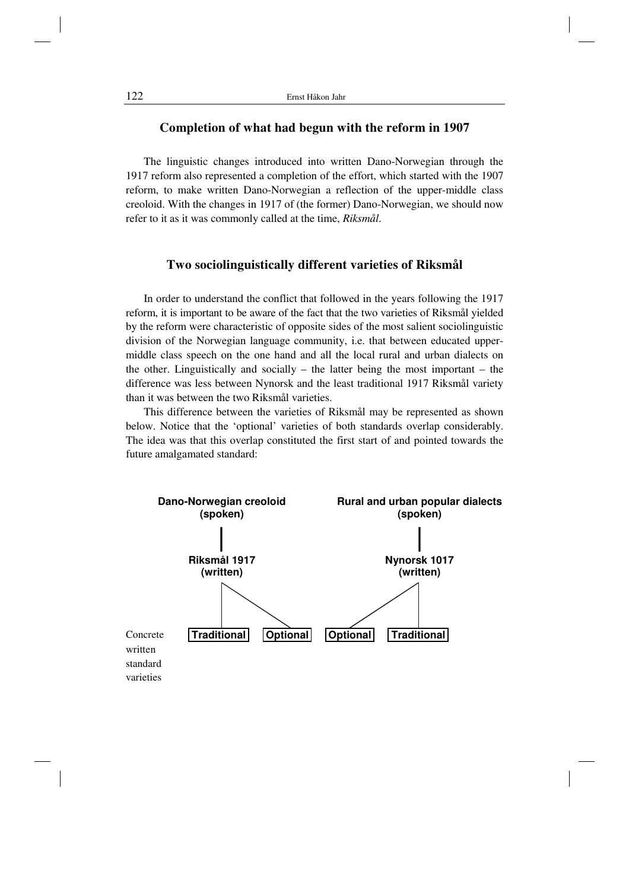# **Completion of what had begun with the reform in 1907**

The linguistic changes introduced into written Dano-Norwegian through the 1917 reform also represented a completion of the effort, which started with the 1907 reform, to make written Dano-Norwegian a reflection of the upper-middle class creoloid. With the changes in 1917 of (the former) Dano-Norwegian, we should now refer to it as it was commonly called at the time, *Riksmål*.

## **Two sociolinguistically different varieties of Riksmål**

In order to understand the conflict that followed in the years following the 1917 reform, it is important to be aware of the fact that the two varieties of Riksmål yielded by the reform were characteristic of opposite sides of the most salient sociolinguistic division of the Norwegian language community, i.e. that between educated uppermiddle class speech on the one hand and all the local rural and urban dialects on the other. Linguistically and socially – the latter being the most important – the difference was less between Nynorsk and the least traditional 1917 Riksmål variety than it was between the two Riksmål varieties.

This difference between the varieties of Riksmål may be represented as shown below. Notice that the 'optional' varieties of both standards overlap considerably. The idea was that this overlap constituted the first start of and pointed towards the future amalgamated standard:

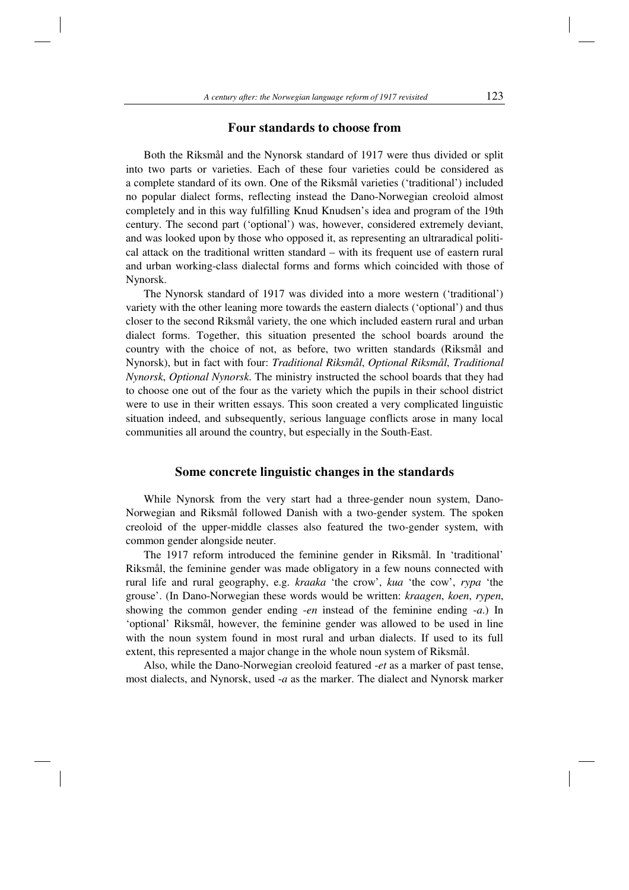#### **Four standards to choose from**

Both the Riksmål and the Nynorsk standard of 1917 were thus divided or split into two parts or varieties. Each of these four varieties could be considered as a complete standard of its own. One of the Riksmål varieties ('traditional') included no popular dialect forms, reflecting instead the Dano-Norwegian creoloid almost completely and in this way fulfilling Knud Knudsen's idea and program of the 19th century. The second part ('optional') was, however, considered extremely deviant, and was looked upon by those who opposed it, as representing an ultraradical political attack on the traditional written standard – with its frequent use of eastern rural and urban working-class dialectal forms and forms which coincided with those of Nynorsk.

The Nynorsk standard of 1917 was divided into a more western ('traditional') variety with the other leaning more towards the eastern dialects ('optional') and thus closer to the second Riksmål variety, the one which included eastern rural and urban dialect forms. Together, this situation presented the school boards around the country with the choice of not, as before, two written standards (Riksmål and Nynorsk), but in fact with four: *Traditional Riksmål*, *Optional Riksmål*, *Traditional Nynorsk*, *Optional Nynorsk*. The ministry instructed the school boards that they had to choose one out of the four as the variety which the pupils in their school district were to use in their written essays. This soon created a very complicated linguistic situation indeed, and subsequently, serious language conflicts arose in many local communities all around the country, but especially in the South-East.

#### **Some concrete linguistic changes in the standards**

While Nynorsk from the very start had a three-gender noun system, Dano-Norwegian and Riksmål followed Danish with a two-gender system. The spoken creoloid of the upper-middle classes also featured the two-gender system, with common gender alongside neuter.

The 1917 reform introduced the feminine gender in Riksmål. In 'traditional' Riksmål, the feminine gender was made obligatory in a few nouns connected with rural life and rural geography, e.g. *kraaka* 'the crow', *kua* 'the cow', *rypa* 'the grouse'. (In Dano-Norwegian these words would be written: *kraagen*, *koen*, *rypen*, showing the common gender ending -*en* instead of the feminine ending -*a*.) In 'optional' Riksmål, however, the feminine gender was allowed to be used in line with the noun system found in most rural and urban dialects. If used to its full extent, this represented a major change in the whole noun system of Riksmål.

Also, while the Dano-Norwegian creoloid featured -*et* as a marker of past tense, most dialects, and Nynorsk, used -*a* as the marker. The dialect and Nynorsk marker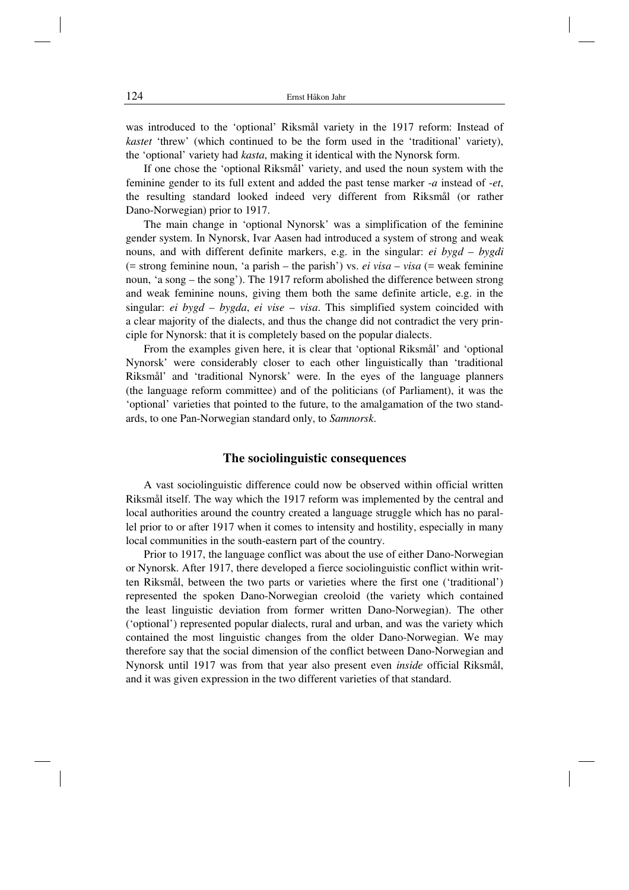was introduced to the 'optional' Riksmål variety in the 1917 reform: Instead of *kastet* 'threw' (which continued to be the form used in the 'traditional' variety), the 'optional' variety had *kasta*, making it identical with the Nynorsk form.

If one chose the 'optional Riksmål' variety, and used the noun system with the feminine gender to its full extent and added the past tense marker -*a* instead of -*et*, the resulting standard looked indeed very different from Riksmål (or rather Dano-Norwegian) prior to 1917.

The main change in 'optional Nynorsk' was a simplification of the feminine gender system. In Nynorsk, Ivar Aasen had introduced a system of strong and weak nouns, and with different definite markers, e.g. in the singular: *ei bygd* – *bygdi*  $($  = strong feminine noun, 'a parish – the parish') vs. *ei visa* – *visa* (= weak feminine noun, 'a song – the song'). The 1917 reform abolished the difference between strong and weak feminine nouns, giving them both the same definite article, e.g. in the singular: *ei bygd* – *bygda*, *ei vise* – *visa*. This simplified system coincided with a clear majority of the dialects, and thus the change did not contradict the very principle for Nynorsk: that it is completely based on the popular dialects.

From the examples given here, it is clear that 'optional Riksmål' and 'optional Nynorsk' were considerably closer to each other linguistically than 'traditional Riksmål' and 'traditional Nynorsk' were. In the eyes of the language planners (the language reform committee) and of the politicians (of Parliament), it was the 'optional' varieties that pointed to the future, to the amalgamation of the two standards, to one Pan-Norwegian standard only, to *Samnorsk*.

#### **The sociolinguistic consequences**

A vast sociolinguistic difference could now be observed within official written Riksmål itself. The way which the 1917 reform was implemented by the central and local authorities around the country created a language struggle which has no parallel prior to or after 1917 when it comes to intensity and hostility, especially in many local communities in the south-eastern part of the country.

Prior to 1917, the language conflict was about the use of either Dano-Norwegian or Nynorsk. After 1917, there developed a fierce sociolinguistic conflict within written Riksmål, between the two parts or varieties where the first one ('traditional') represented the spoken Dano-Norwegian creoloid (the variety which contained the least linguistic deviation from former written Dano-Norwegian). The other ('optional') represented popular dialects, rural and urban, and was the variety which contained the most linguistic changes from the older Dano-Norwegian. We may therefore say that the social dimension of the conflict between Dano-Norwegian and Nynorsk until 1917 was from that year also present even *inside* official Riksmål, and it was given expression in the two different varieties of that standard.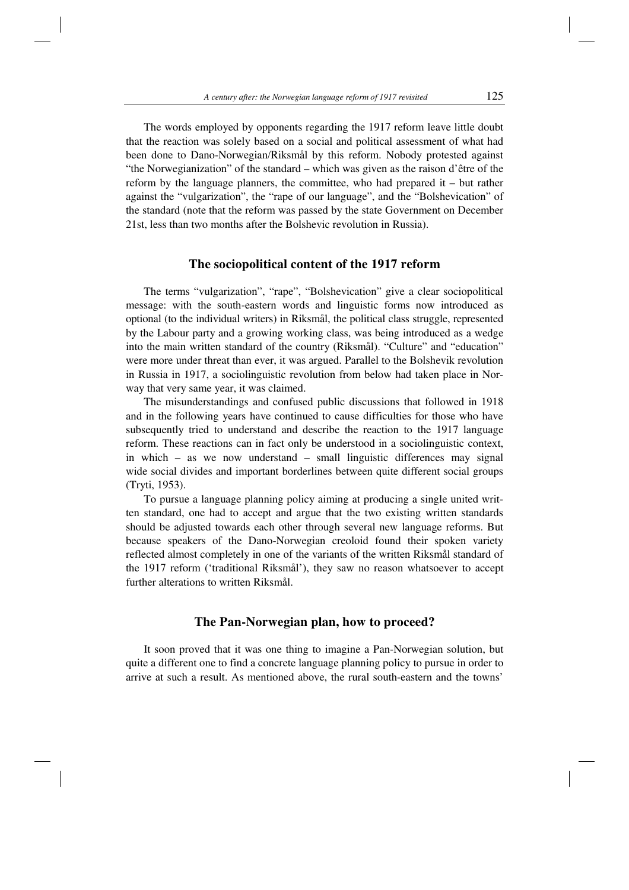The words employed by opponents regarding the 1917 reform leave little doubt that the reaction was solely based on a social and political assessment of what had been done to Dano-Norwegian/Riksmål by this reform. Nobody protested against "the Norwegianization" of the standard – which was given as the raison d'être of the reform by the language planners, the committee, who had prepared it – but rather against the "vulgarization", the "rape of our language", and the "Bolshevication" of the standard (note that the reform was passed by the state Government on December 21st, less than two months after the Bolshevic revolution in Russia).

#### **The sociopolitical content of the 1917 reform**

The terms "vulgarization", "rape", "Bolshevication" give a clear sociopolitical message: with the south-eastern words and linguistic forms now introduced as optional (to the individual writers) in Riksmål, the political class struggle, represented by the Labour party and a growing working class, was being introduced as a wedge into the main written standard of the country (Riksmål). "Culture" and "education" were more under threat than ever, it was argued. Parallel to the Bolshevik revolution in Russia in 1917, a sociolinguistic revolution from below had taken place in Norway that very same year, it was claimed.

The misunderstandings and confused public discussions that followed in 1918 and in the following years have continued to cause difficulties for those who have subsequently tried to understand and describe the reaction to the 1917 language reform. These reactions can in fact only be understood in a sociolinguistic context, in which – as we now understand – small linguistic differences may signal wide social divides and important borderlines between quite different social groups (Tryti, 1953).

To pursue a language planning policy aiming at producing a single united written standard, one had to accept and argue that the two existing written standards should be adjusted towards each other through several new language reforms. But because speakers of the Dano-Norwegian creoloid found their spoken variety reflected almost completely in one of the variants of the written Riksmål standard of the 1917 reform ('traditional Riksmål'), they saw no reason whatsoever to accept further alterations to written Riksmål.

# **The Pan-Norwegian plan, how to proceed?**

It soon proved that it was one thing to imagine a Pan-Norwegian solution, but quite a different one to find a concrete language planning policy to pursue in order to arrive at such a result. As mentioned above, the rural south-eastern and the towns'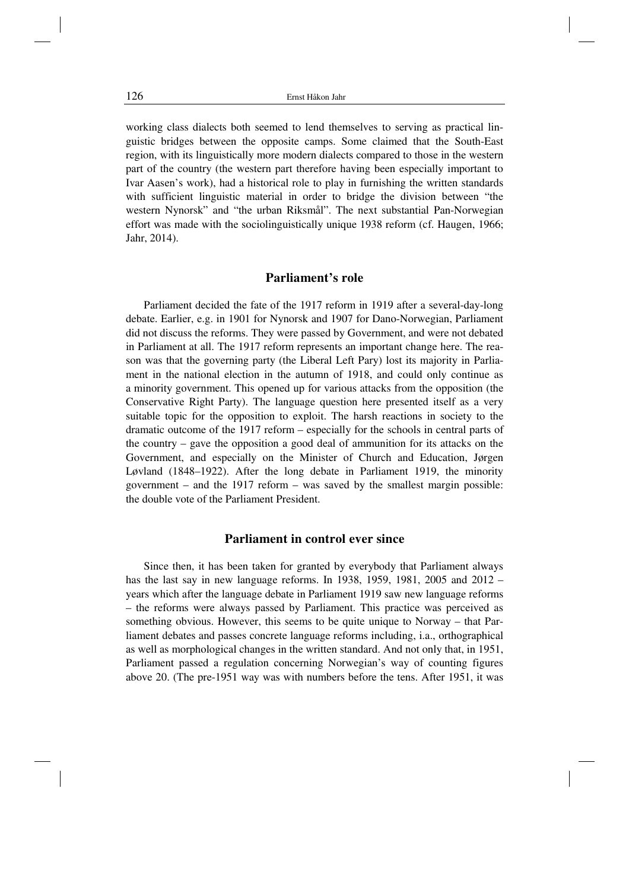working class dialects both seemed to lend themselves to serving as practical linguistic bridges between the opposite camps. Some claimed that the South-East region, with its linguistically more modern dialects compared to those in the western part of the country (the western part therefore having been especially important to Ivar Aasen's work), had a historical role to play in furnishing the written standards with sufficient linguistic material in order to bridge the division between "the western Nynorsk" and "the urban Riksmål". The next substantial Pan-Norwegian effort was made with the sociolinguistically unique 1938 reform (cf. Haugen, 1966; Jahr, 2014).

#### **Parliament's role**

Parliament decided the fate of the 1917 reform in 1919 after a several-day-long debate. Earlier, e.g. in 1901 for Nynorsk and 1907 for Dano-Norwegian, Parliament did not discuss the reforms. They were passed by Government, and were not debated in Parliament at all. The 1917 reform represents an important change here. The reason was that the governing party (the Liberal Left Pary) lost its majority in Parliament in the national election in the autumn of 1918, and could only continue as a minority government. This opened up for various attacks from the opposition (the Conservative Right Party). The language question here presented itself as a very suitable topic for the opposition to exploit. The harsh reactions in society to the dramatic outcome of the 1917 reform – especially for the schools in central parts of the country – gave the opposition a good deal of ammunition for its attacks on the Government, and especially on the Minister of Church and Education, Jørgen Løvland (1848–1922). After the long debate in Parliament 1919, the minority government – and the 1917 reform – was saved by the smallest margin possible: the double vote of the Parliament President.

# **Parliament in control ever since**

Since then, it has been taken for granted by everybody that Parliament always has the last say in new language reforms. In 1938, 1959, 1981, 2005 and 2012 – years which after the language debate in Parliament 1919 saw new language reforms – the reforms were always passed by Parliament. This practice was perceived as something obvious. However, this seems to be quite unique to Norway – that Parliament debates and passes concrete language reforms including, i.a., orthographical as well as morphological changes in the written standard. And not only that, in 1951, Parliament passed a regulation concerning Norwegian's way of counting figures above 20. (The pre-1951 way was with numbers before the tens. After 1951, it was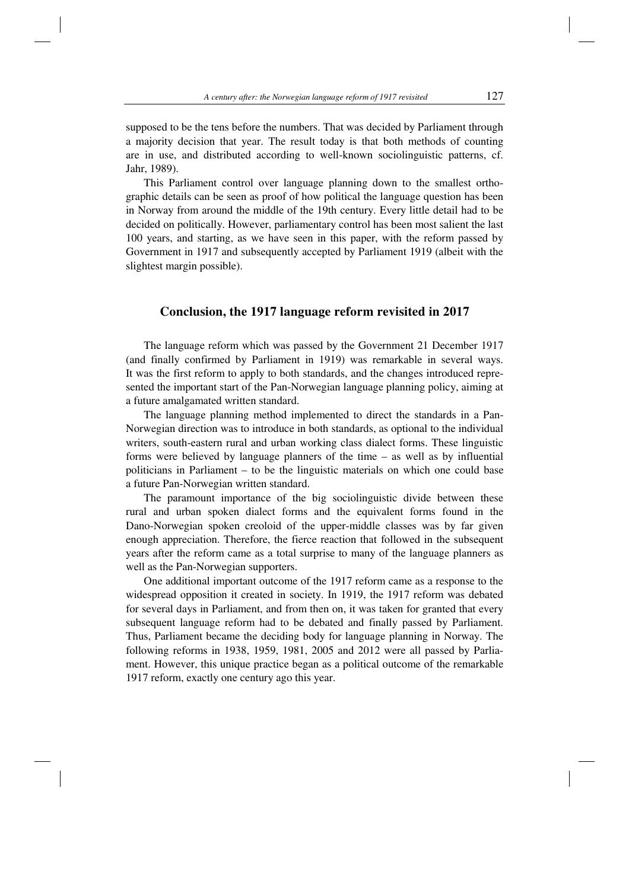supposed to be the tens before the numbers. That was decided by Parliament through a majority decision that year. The result today is that both methods of counting are in use, and distributed according to well-known sociolinguistic patterns, cf. Jahr, 1989).

This Parliament control over language planning down to the smallest orthographic details can be seen as proof of how political the language question has been in Norway from around the middle of the 19th century. Every little detail had to be decided on politically. However, parliamentary control has been most salient the last 100 years, and starting, as we have seen in this paper, with the reform passed by Government in 1917 and subsequently accepted by Parliament 1919 (albeit with the slightest margin possible).

#### **Conclusion, the 1917 language reform revisited in 2017**

The language reform which was passed by the Government 21 December 1917 (and finally confirmed by Parliament in 1919) was remarkable in several ways. It was the first reform to apply to both standards, and the changes introduced represented the important start of the Pan-Norwegian language planning policy, aiming at a future amalgamated written standard.

The language planning method implemented to direct the standards in a Pan-Norwegian direction was to introduce in both standards, as optional to the individual writers, south-eastern rural and urban working class dialect forms. These linguistic forms were believed by language planners of the time – as well as by influential politicians in Parliament – to be the linguistic materials on which one could base a future Pan-Norwegian written standard.

The paramount importance of the big sociolinguistic divide between these rural and urban spoken dialect forms and the equivalent forms found in the Dano-Norwegian spoken creoloid of the upper-middle classes was by far given enough appreciation. Therefore, the fierce reaction that followed in the subsequent years after the reform came as a total surprise to many of the language planners as well as the Pan-Norwegian supporters.

One additional important outcome of the 1917 reform came as a response to the widespread opposition it created in society. In 1919, the 1917 reform was debated for several days in Parliament, and from then on, it was taken for granted that every subsequent language reform had to be debated and finally passed by Parliament. Thus, Parliament became the deciding body for language planning in Norway. The following reforms in 1938, 1959, 1981, 2005 and 2012 were all passed by Parliament. However, this unique practice began as a political outcome of the remarkable 1917 reform, exactly one century ago this year.